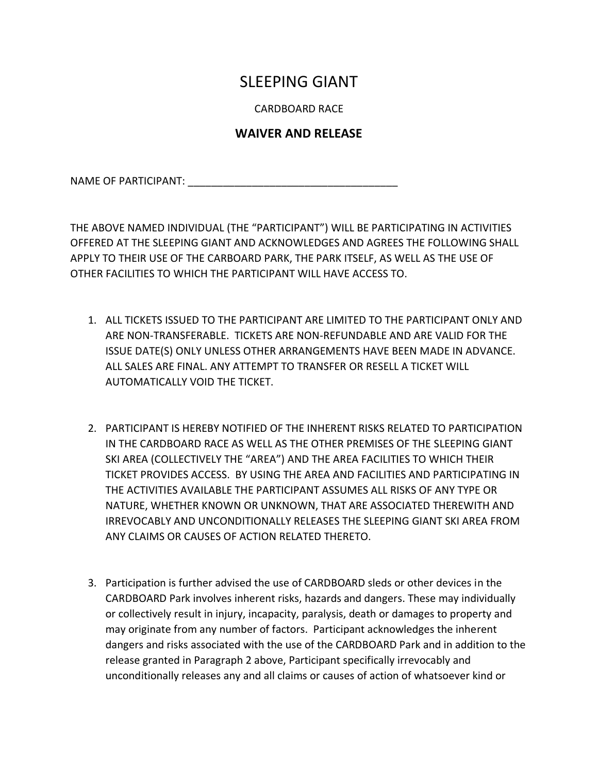## SLEEPING GIANT

CARDBOARD RACE

## **WAIVER AND RELEASE**

NAME OF PARTICIPANT:

THE ABOVE NAMED INDIVIDUAL (THE "PARTICIPANT") WILL BE PARTICIPATING IN ACTIVITIES OFFERED AT THE SLEEPING GIANT AND ACKNOWLEDGES AND AGREES THE FOLLOWING SHALL APPLY TO THEIR USE OF THE CARBOARD PARK, THE PARK ITSELF, AS WELL AS THE USE OF OTHER FACILITIES TO WHICH THE PARTICIPANT WILL HAVE ACCESS TO.

- 1. ALL TICKETS ISSUED TO THE PARTICIPANT ARE LIMITED TO THE PARTICIPANT ONLY AND ARE NON-TRANSFERABLE. TICKETS ARE NON-REFUNDABLE AND ARE VALID FOR THE ISSUE DATE(S) ONLY UNLESS OTHER ARRANGEMENTS HAVE BEEN MADE IN ADVANCE. ALL SALES ARE FINAL. ANY ATTEMPT TO TRANSFER OR RESELL A TICKET WILL AUTOMATICALLY VOID THE TICKET.
- 2. PARTICIPANT IS HEREBY NOTIFIED OF THE INHERENT RISKS RELATED TO PARTICIPATION IN THE CARDBOARD RACE AS WELL AS THE OTHER PREMISES OF THE SLEEPING GIANT SKI AREA (COLLECTIVELY THE "AREA") AND THE AREA FACILITIES TO WHICH THEIR TICKET PROVIDES ACCESS. BY USING THE AREA AND FACILITIES AND PARTICIPATING IN THE ACTIVITIES AVAILABLE THE PARTICIPANT ASSUMES ALL RISKS OF ANY TYPE OR NATURE, WHETHER KNOWN OR UNKNOWN, THAT ARE ASSOCIATED THEREWITH AND IRREVOCABLY AND UNCONDITIONALLY RELEASES THE SLEEPING GIANT SKI AREA FROM ANY CLAIMS OR CAUSES OF ACTION RELATED THERETO.
- 3. Participation is further advised the use of CARDBOARD sleds or other devices in the CARDBOARD Park involves inherent risks, hazards and dangers. These may individually or collectively result in injury, incapacity, paralysis, death or damages to property and may originate from any number of factors. Participant acknowledges the inherent dangers and risks associated with the use of the CARDBOARD Park and in addition to the release granted in Paragraph 2 above, Participant specifically irrevocably and unconditionally releases any and all claims or causes of action of whatsoever kind or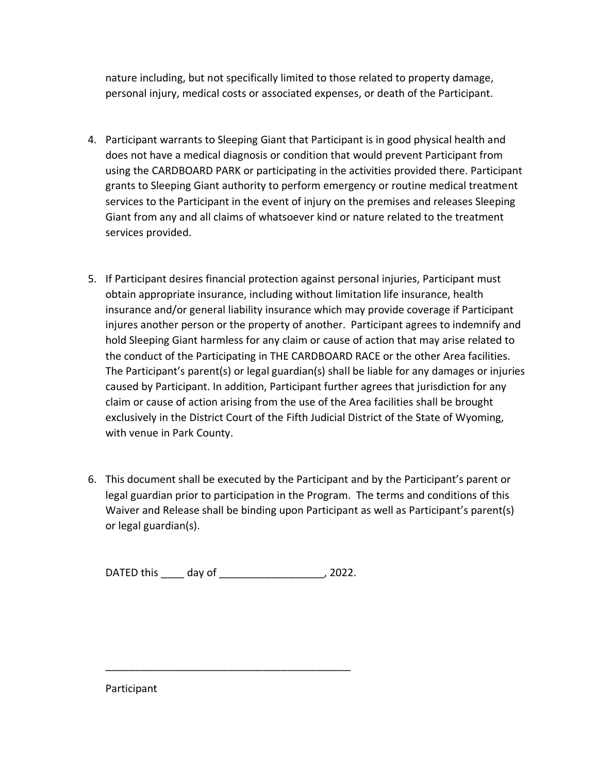nature including, but not specifically limited to those related to property damage, personal injury, medical costs or associated expenses, or death of the Participant.

- 4. Participant warrants to Sleeping Giant that Participant is in good physical health and does not have a medical diagnosis or condition that would prevent Participant from using the CARDBOARD PARK or participating in the activities provided there. Participant grants to Sleeping Giant authority to perform emergency or routine medical treatment services to the Participant in the event of injury on the premises and releases Sleeping Giant from any and all claims of whatsoever kind or nature related to the treatment services provided.
- 5. If Participant desires financial protection against personal injuries, Participant must obtain appropriate insurance, including without limitation life insurance, health insurance and/or general liability insurance which may provide coverage if Participant injures another person or the property of another. Participant agrees to indemnify and hold Sleeping Giant harmless for any claim or cause of action that may arise related to the conduct of the Participating in THE CARDBOARD RACE or the other Area facilities. The Participant's parent(s) or legal guardian(s) shall be liable for any damages or injuries caused by Participant. In addition, Participant further agrees that jurisdiction for any claim or cause of action arising from the use of the Area facilities shall be brought exclusively in the District Court of the Fifth Judicial District of the State of Wyoming, with venue in Park County.
- 6. This document shall be executed by the Participant and by the Participant's parent or legal guardian prior to participation in the Program. The terms and conditions of this Waiver and Release shall be binding upon Participant as well as Participant's parent(s) or legal guardian(s).

DATED this \_\_\_\_ day of \_\_\_\_\_\_\_\_\_\_\_\_\_\_\_\_\_\_, 2022.

\_\_\_\_\_\_\_\_\_\_\_\_\_\_\_\_\_\_\_\_\_\_\_\_\_\_\_\_\_\_\_\_\_\_\_\_\_\_\_\_\_\_

Participant